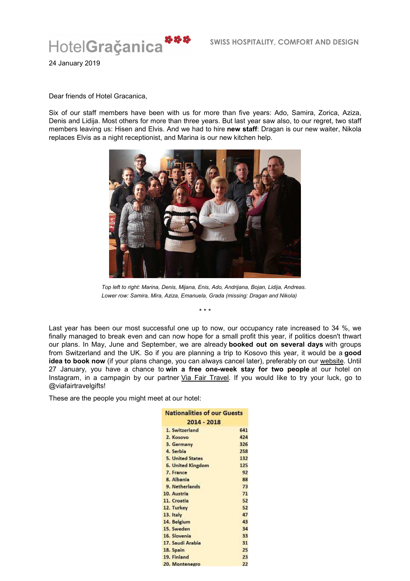

24 January 2019

## Dear friends of Hotel Gracanica,

Six of our staff members have been with us for more than five years: Ado, Samira, Zorica, Aziza, Denis and Lidija. Most others for more than three years. But last year saw also, to our regret, two staff members leaving us: Hisen and Elvis. And we had to hire **new staff**: Dragan is our new waiter, Nikola replaces Elvis as a night receptionist, and Marina is our new kitchen help.



*Top left to right: Marina, Denis, Mijana, Enis, Ado, Andrijana, Bojan, Lidija, Andreas. Lower row: Samira, Mira, Aziza, Emanuela, Grada (missing: Dragan and Nikola)*

\* \* \*

Last year has been our most successful one up to now, our occupancy rate increased to 34 %, we finally managed to break even and can now hope for a small profit this year, if politics doesn't thwart our plans. In May, June and September, we are already **booked out on several days** with groups from Switzerland and the UK. So if you are planning a trip to Kosovo this year, it would be a **good**  idea to book now (if your plans change, you can always cancel later), preferably on our website. Until 27 January, you have a chance to **win a free one-week stay for two people** at our hotel on Instagram, in a campagin by our partner *Via Fair Travel*. If you would like to try your luck, go to @viafairtravelgifts!

These are the people you might meet at our hotel:

| <b>Nationalities of our Guests</b><br>2014 - 2018 |     |
|---------------------------------------------------|-----|
|                                                   |     |
| 2. Kosovo                                         | 424 |
| 3. Germany                                        | 326 |
| 4. Serbia                                         | 258 |
| <b>5. United States</b>                           | 132 |
| 6. United Kingdom                                 | 125 |
| 7. France                                         | 92  |
| 8. Albania                                        | 88  |
| 9. Netherlands                                    | 73  |
| 10. Austria                                       | 71  |
| 11. Croatia                                       | 52  |
| 12. Turkey                                        | 52  |
| 13. Italy                                         | 47  |
| 14. Belgium                                       | 43  |
| 15. Sweden                                        | 34  |
| 16. Slovenia                                      | 33  |
| 17. Saudi Arabia                                  | 31  |
| 18. Spain                                         | 25  |
| 19. Finland                                       | 23  |
| 20. Montenegro                                    | 22  |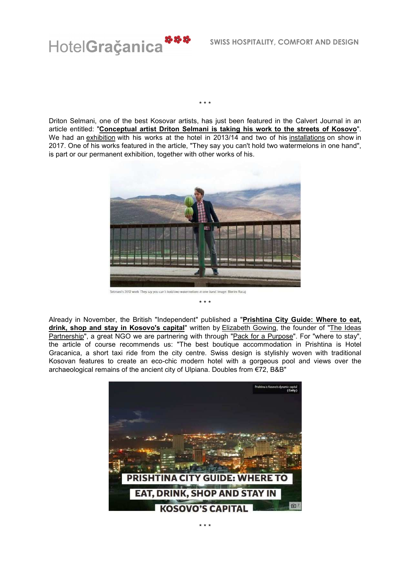

Driton Selmani, one of the best Kosovar artists, has just been featured in the Calvert Journal in an article entitled: "**Conceptual artist Driton Selmani is taking his work to the streets of Kosovo**". We had an exhibition with his works at the hotel in 2013/14 and two of his installations on show in 2017. One of his works featured in the article, "They say you can't hold two watermelons in one hand", is part or our permanent exhibition, together with other works of his.

\* \* \*



Already in November, the British "Independent" published a "**Prishtina City Guide: Where to eat,**  drink, shop and stay in Kosovo's capital" written by **Elizabeth Gowing**, the founder of "The Ideas Partnership", a great NGO we are partnering with through "Pack for a Purpose". For "where to stay", the article of course recommends us: "The best boutique accommodation in Prishtina is Hotel Gracanica, a short taxi ride from the city centre. Swiss design is stylishly woven with traditional Kosovan features to create an eco-chic modern hotel with a gorgeous pool and views over the archaeological remains of the ancient city of Ulpiana. Doubles from €72, B&B"

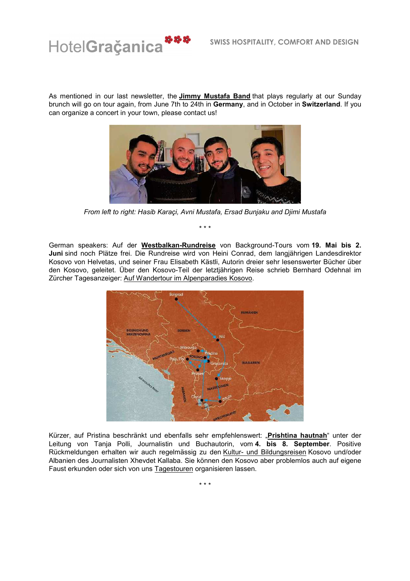

As mentioned in our last newsletter, the **Jimmy Mustafa Band** that plays regularly at our Sunday brunch will go on tour again, from June 7th to 24th in **Germany**, and in October in **Switzerland**. If you can organize a concert in your town, please contact us!



*From left to right: Hasib Karaçi, Avni Mustafa, Ersad Bunjaku and Djimi Mustafa*

\* \* \*

German speakers: Auf der **Westbalkan-Rundreise** von Background-Tours vom **19. Mai bis 2. Juni** sind noch Plätze frei. Die Rundreise wird von Heini Conrad, dem langjährigen Landesdirektor Kosovo von Helvetas, und seiner Frau Elisabeth Kästli, Autorin dreier sehr lesenswerter Bücher über den Kosovo, geleitet. Über den Kosovo-Teil der letztjährigen Reise schrieb Bernhard Odehnal im Zürcher Tagesanzeiger: Auf Wandertour im Alpenparadies Kosovo.



Kürzer, auf Pristina beschränkt und ebenfalls sehr empfehlenswert: "**Prishtina hautnah**" unter der Leitung von Tanja Polli, Journalistin und Buchautorin, vom **4. bis 8. September**. Positive Rückmeldungen erhalten wir auch regelmässig zu den Kultur- und Bildungsreisen Kosovo und/oder Albanien des Journalisten Xhevdet Kallaba. Sie können den Kosovo aber problemlos auch auf eigene Faust erkunden oder sich von uns Tagestouren organisieren lassen.